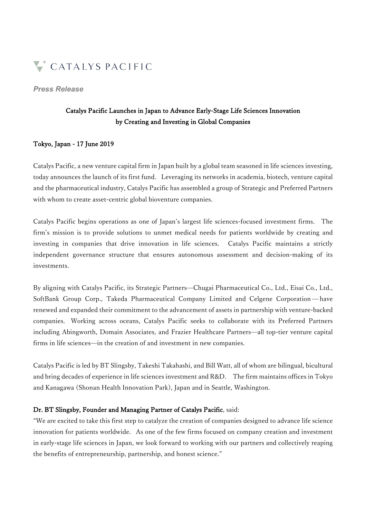

#### *Press Release*

## Catalys Pacific Launches in Japan to Advance Early-Stage Life Sciences Innovation by Creating and Investing in Global Companies

## Tokyo, Japan - 17 June 2019

Catalys Pacific, a new venture capital firm in Japan built by a global team seasoned in life sciences investing, today announces the launch of its first fund. Leveraging its networks in academia, biotech, venture capital and the pharmaceutical industry, Catalys Pacific has assembled a group of Strategic and Preferred Partners with whom to create asset-centric global bioventure companies.

Catalys Pacific begins operations as one of Japan's largest life sciences-focused investment firms. The firm's mission is to provide solutions to unmet medical needs for patients worldwide by creating and investing in companies that drive innovation in life sciences. Catalys Pacific maintains a strictly independent governance structure that ensures autonomous assessment and decision-making of its investments.

By aligning with Catalys Pacific, its Strategic Partners̶Chugai Pharmaceutical Co., Ltd., Eisai Co., Ltd., SoftBank Group Corp., Takeda Pharmaceutical Company Limited and Celgene Corporation ̶ have renewed and expanded their commitment to the advancement of assets in partnership with venture-backed companies. Working across oceans, Catalys Pacific seeks to collaborate with its Preferred Partners including Abingworth, Domain Associates, and Frazier Healthcare Partners̶all top-tier venture capital firms in life sciences—in the creation of and investment in new companies.

Catalys Pacific is led by BT Slingsby, Takeshi Takahashi, and Bill Watt, all of whom are bilingual, bicultural and bring decades of experience in life sciences investment and R&D. The firm maintains offices in Tokyo and Kanagawa (Shonan Health Innovation Park), Japan and in Seattle, Washington.

## Dr. BT Slingsby, Founder and Managing Partner of Catalys Pacific, said:

"We are excited to take this first step to catalyze the creation of companies designed to advance life science innovation for patients worldwide. As one of the few firms focused on company creation and investment in early-stage life sciences in Japan, we look forward to working with our partners and collectively reaping the benefits of entrepreneurship, partnership, and honest science."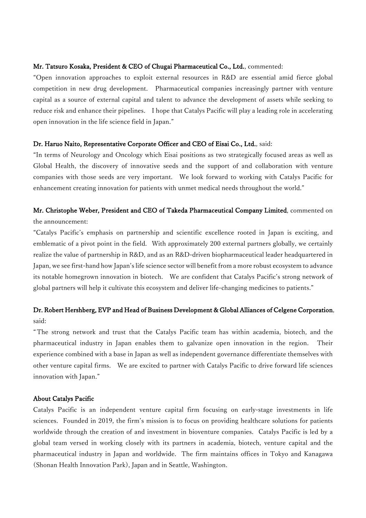### Mr. Tatsuro Kosaka, President & CEO of Chugai Pharmaceutical Co., Ltd., commented:

"Open innovation approaches to exploit external resources in R&D are essential amid fierce global competition in new drug development. Pharmaceutical companies increasingly partner with venture capital as a source of external capital and talent to advance the development of assets while seeking to reduce risk and enhance their pipelines. I hope that Catalys Pacific will play a leading role in accelerating open innovation in the life science field in Japan."

## Dr. Haruo Naito, Representative Corporate Officer and CEO of Eisai Co., Ltd., said:

"In terms of Neurology and Oncology which Eisai positions as two strategically focused areas as well as Global Health, the discovery of innovative seeds and the support of and collaboration with venture companies with those seeds are very important. We look forward to working with Catalys Pacific for enhancement creating innovation for patients with unmet medical needs throughout the world."

# Mr. Christophe Weber, President and CEO of Takeda Pharmaceutical Company Limited, commented on the announcement:

"Catalys Pacific's emphasis on partnership and scientific excellence rooted in Japan is exciting, and emblematic of a pivot point in the field. With approximately 200 external partners globally, we certainly realize the value of partnership in R&D, and as an R&D-driven biopharmaceutical leader headquartered in Japan, we see first-hand how Japan's life science sector will benefit from a more robust ecosystem to advance its notable homegrown innovation in biotech. We are confident that Catalys Pacific's strong network of global partners will help it cultivate this ecosystem and deliver life-changing medicines to patients."

## Dr. Robert Hershberg, EVP and Head of Business Development & Global Alliances of Celgene Corporation, said:

"The strong network and trust that the Catalys Pacific team has within academia, biotech, and the pharmaceutical industry in Japan enables them to galvanize open innovation in the region. Their experience combined with a base in Japan as well as independent governance differentiate themselves with other venture capital firms. We are excited to partner with Catalys Pacific to drive forward life sciences innovation with Japan."

#### About Catalys Pacific

Catalys Pacific is an independent venture capital firm focusing on early-stage investments in life sciences. Founded in 2019, the firm's mission is to focus on providing healthcare solutions for patients worldwide through the creation of and investment in bioventure companies. Catalys Pacific is led by a global team versed in working closely with its partners in academia, biotech, venture capital and the pharmaceutical industry in Japan and worldwide. The firm maintains offices in Tokyo and Kanagawa (Shonan Health Innovation Park), Japan and in Seattle, Washington.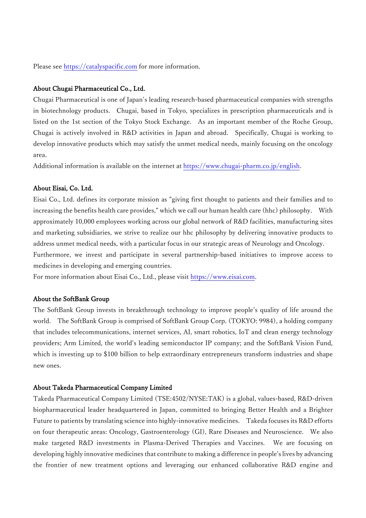Please see https://catalyspacific.com for more information.

#### About Chugai Pharmaceutical Co., Ltd.

Chugai Pharmaceutical is one of Japan's leading research-based pharmaceutical companies with strengths in biotechnology products. Chugai, based in Tokyo, specializes in prescription pharmaceuticals and is listed on the 1st section of the Tokyo Stock Exchange. As an important member of the Roche Group, Chugai is actively involved in R&D activities in Japan and abroad. Specifically, Chugai is working to develop innovative products which may satisfy the unmet medical needs, mainly focusing on the oncology area.

Additional information is available on the internet at https://www.chugai-pharm.co.jp/english.

#### About Eisai, Co. Ltd.

Eisai Co., Ltd. defines its corporate mission as "giving first thought to patients and their families and to increasing the benefits health care provides," which we call our human health care (hhc) philosophy. With approximately 10,000 employees working across our global network of R&D facilities, manufacturing sites and marketing subsidiaries, we strive to realize our hhc philosophy by delivering innovative products to address unmet medical needs, with a particular focus in our strategic areas of Neurology and Oncology. Furthermore, we invest and participate in several partnership-based initiatives to improve access to

medicines in developing and emerging countries.

For more information about Eisai Co., Ltd., please visit https://www.eisai.com.

## About the SoftBank Group

The SoftBank Group invests in breakthrough technology to improve people's quality of life around the world. The SoftBank Group is comprised of SoftBank Group Corp. (TOKYO: 9984), a holding company that includes telecommunications, internet services, AI, smart robotics, IoT and clean energy technology providers; Arm Limited, the world's leading semiconductor IP company; and the SoftBank Vision Fund, which is investing up to \$100 billion to help extraordinary entrepreneurs transform industries and shape new ones.

#### About Takeda Pharmaceutical Company Limited

Takeda Pharmaceutical Company Limited (TSE:4502/NYSE:TAK) is a global, values-based, R&D-driven biopharmaceutical leader headquartered in Japan, committed to bringing Better Health and a Brighter Future to patients by translating science into highly-innovative medicines. Takeda focuses its R&D efforts on four therapeutic areas: Oncology, Gastroenterology (GI), Rare Diseases and Neuroscience. We also make targeted R&D investments in Plasma-Derived Therapies and Vaccines. We are focusing on developing highly innovative medicines that contribute to making a difference in people's lives by advancing the frontier of new treatment options and leveraging our enhanced collaborative R&D engine and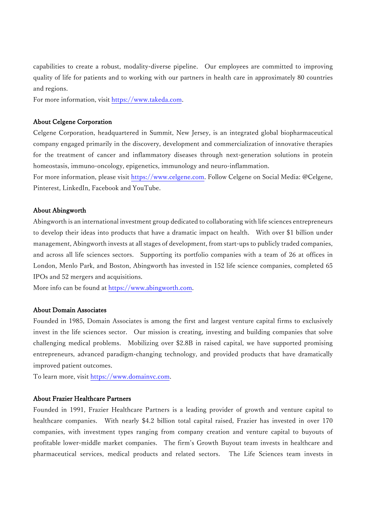capabilities to create a robust, modality-diverse pipeline. Our employees are committed to improving quality of life for patients and to working with our partners in health care in approximately 80 countries and regions.

For more information, visit https://www.takeda.com.

#### About Celgene Corporation

Celgene Corporation, headquartered in Summit, New Jersey, is an integrated global biopharmaceutical company engaged primarily in the discovery, development and commercialization of innovative therapies for the treatment of cancer and inflammatory diseases through next-generation solutions in protein homeostasis, immuno-oncology, epigenetics, immunology and neuro-inflammation.

For more information, please visit https://www.celgene.com. Follow Celgene on Social Media: @Celgene, Pinterest, LinkedIn, Facebook and YouTube.

#### About Abingworth

Abingworth is an international investment group dedicated to collaborating with life sciences entrepreneurs to develop their ideas into products that have a dramatic impact on health. With over \$1 billion under management, Abingworth invests at all stages of development, from start-ups to publicly traded companies, and across all life sciences sectors. Supporting its portfolio companies with a team of 26 at offices in London, Menlo Park, and Boston, Abingworth has invested in 152 life science companies, completed 65 IPOs and 52 mergers and acquisitions.

More info can be found at https://www.abingworth.com.

#### About Domain Associates

Founded in 1985, Domain Associates is among the first and largest venture capital firms to exclusively invest in the life sciences sector. Our mission is creating, investing and building companies that solve challenging medical problems. Mobilizing over \$2.8B in raised capital, we have supported promising entrepreneurs, advanced paradigm-changing technology, and provided products that have dramatically improved patient outcomes.

To learn more, visit https://www.domainvc.com.

#### About Frazier Healthcare Partners

Founded in 1991, Frazier Healthcare Partners is a leading provider of growth and venture capital to healthcare companies. With nearly \$4.2 billion total capital raised, Frazier has invested in over 170 companies, with investment types ranging from company creation and venture capital to buyouts of profitable lower-middle market companies. The firm's Growth Buyout team invests in healthcare and pharmaceutical services, medical products and related sectors. The Life Sciences team invests in